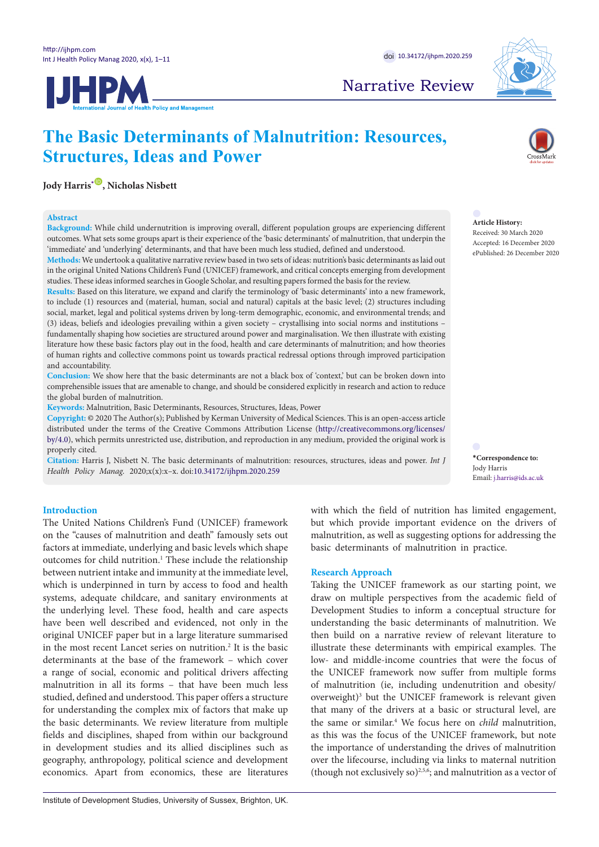

## Narrative Review

# **IJHPM**

## **The Basic Determinants of Malnutrition: Resources, Structures, Ideas and Power**

**Jody Harris**<sup>[\\*](#page-0-0)</sup><sup> $\bullet$ </sup>, Nicholas Nisbett

#### **Abstract**

**Background:** While child undernutrition is improving overall, different population groups are experiencing different outcomes. What sets some groups apart is their experience of the 'basic determinants' of malnutrition, that underpin the 'immediate' and 'underlying' determinants, and that have been much less studied, defined and understood.

**Methods:** We undertook a qualitative narrative review based in two sets of ideas: nutrition's basic determinants as laid out in the original United Nations Children's Fund (UNICEF) framework, and critical concepts emerging from development studies. These ideas informed searches in Google Scholar, and resulting papers formed the basis for the review.

**Results:** Based on this literature, we expand and clarify the terminology of 'basic determinants' into a new framework, to include (1) resources and (material, human, social and natural) capitals at the basic level; (2) structures including social, market, legal and political systems driven by long-term demographic, economic, and environmental trends; and (3) ideas, beliefs and ideologies prevailing within a given society – crystallising into social norms and institutions – fundamentally shaping how societies are structured around power and marginalisation. We then illustrate with existing literature how these basic factors play out in the food, health and care determinants of malnutrition; and how theories of human rights and collective commons point us towards practical redressal options through improved participation and accountability.

**Conclusion:** We show here that the basic determinants are not a black box of 'context,' but can be broken down into comprehensible issues that are amenable to change, and should be considered explicitly in research and action to reduce the global burden of malnutrition.

**Keywords:** Malnutrition, Basic Determinants, Resources, Structures, Ideas, Power

**Copyright:** © 2020 The Author(s); Published by Kerman University of Medical Sciences. This is an open-access article distributed under the terms of the Creative Commons Attribution License [\(http://creativecommons.org/licenses/](http://creativecommons.org/licenses/by/4.0) [by/4.0\)](http://creativecommons.org/licenses/by/4.0), which permits unrestricted use, distribution, and reproduction in any medium, provided the original work is properly cited.

**Citation:** Harris J, Nisbett N. The basic determinants of malnutrition: resources, structures, ideas and power. *Int J Health Policy Manag.* 2020;x(x):x–x. doi[:10.34172/ijhpm.2020.259](https://doi.org/10.34172/ijhpm.2020.259)

## **Article History:**

Received: 30 March 2020 Accepted: 16 December 2020 ePublished: 26 December 2020

<span id="page-0-0"></span>**\*Correspondence to:** Jody Harris Email: j.harris@ids.ac.uk

### **Introduction**

The United Nations Children's Fund (UNICEF) framework on the "causes of malnutrition and death" famously sets out factors at immediate, underlying and basic levels which shape outcomes for child nutrition.<sup>1</sup> These include the relationship between nutrient intake and immunity at the immediate level, which is underpinned in turn by access to food and health systems, adequate childcare, and sanitary environments at the underlying level. These food, health and care aspects have been well described and evidenced, not only in the original UNICEF paper but in a large literature summarised in the most recent Lancet series on nutrition.<sup>2</sup> It is the basic determinants at the base of the framework – which cover a range of social, economic and political drivers affecting malnutrition in all its forms – that have been much less studied, defined and understood. This paper offers a structure for understanding the complex mix of factors that make up the basic determinants. We review literature from multiple fields and disciplines, shaped from within our background in development studies and its allied disciplines such as geography, anthropology, political science and development economics. Apart from economics, these are literatures with which the field of nutrition has limited engagement, but which provide important evidence on the drivers of malnutrition, as well as suggesting options for addressing the basic determinants of malnutrition in practice.

### **Research Approach**

Taking the UNICEF framework as our starting point, we draw on multiple perspectives from the academic field of Development Studies to inform a conceptual structure for understanding the basic determinants of malnutrition. We then build on a narrative review of relevant literature to illustrate these determinants with empirical examples. The low- and middle-income countries that were the focus of the UNICEF framework now suffer from multiple forms of malnutrition (ie, including undenutrition and obesity/ overweight)<sup>3</sup> but the UNICEF framework is relevant given that many of the drivers at a basic or structural level, are the same or similar.4 We focus here on *child* malnutrition, as this was the focus of the UNICEF framework, but note the importance of understanding the drives of malnutrition over the lifecourse, including via links to maternal nutrition (though not exclusively so) $2,5,6$ ; and malnutrition as a vector of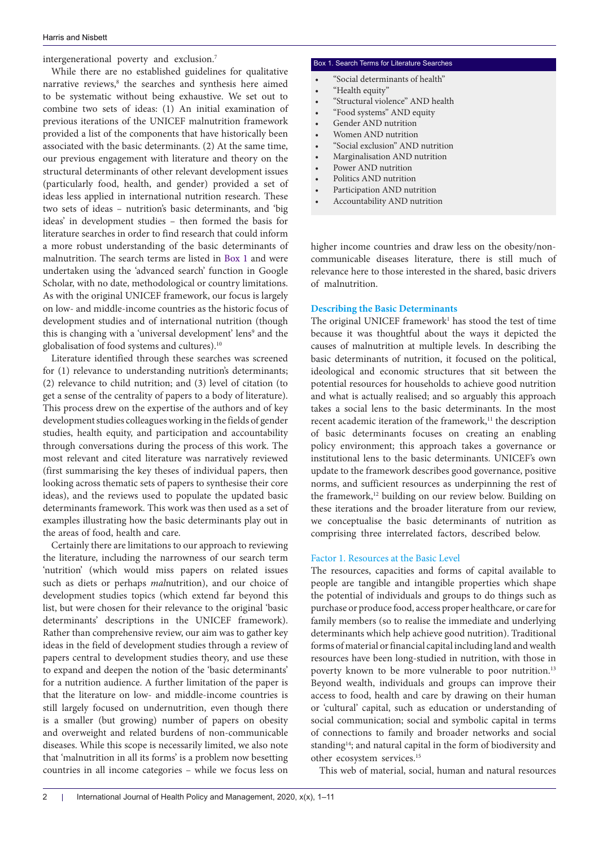intergenerational poverty and exclusion.7

While there are no established guidelines for qualitative narrative reviews,<sup>8</sup> the searches and synthesis here aimed to be systematic without being exhaustive. We set out to combine two sets of ideas: (1) An initial examination of previous iterations of the UNICEF malnutrition framework provided a list of the components that have historically been associated with the basic determinants. (2) At the same time, our previous engagement with literature and theory on the structural determinants of other relevant development issues (particularly food, health, and gender) provided a set of ideas less applied in international nutrition research. These two sets of ideas – nutrition's basic determinants, and 'big ideas' in development studies – then formed the basis for literature searches in order to find research that could inform a more robust understanding of the basic determinants of malnutrition. The search terms are listed in [Box 1](#page-1-0) and were undertaken using the 'advanced search' function in Google Scholar, with no date, methodological or country limitations. As with the original UNICEF framework, our focus is largely on low- and middle-income countries as the historic focus of development studies and of international nutrition (though this is changing with a 'universal development' lens<sup>9</sup> and the globalisation of food systems and cultures).10

Literature identified through these searches was screened for (1) relevance to understanding nutrition's determinants; (2) relevance to child nutrition; and (3) level of citation (to get a sense of the centrality of papers to a body of literature). This process drew on the expertise of the authors and of key development studies colleagues working in the fields of gender studies, health equity, and participation and accountability through conversations during the process of this work. The most relevant and cited literature was narratively reviewed (first summarising the key theses of individual papers, then looking across thematic sets of papers to synthesise their core ideas), and the reviews used to populate the updated basic determinants framework. This work was then used as a set of examples illustrating how the basic determinants play out in the areas of food, health and care.

Certainly there are limitations to our approach to reviewing the literature, including the narrowness of our search term 'nutrition' (which would miss papers on related issues such as diets or perhaps *mal*nutrition), and our choice of development studies topics (which extend far beyond this list, but were chosen for their relevance to the original 'basic determinants' descriptions in the UNICEF framework). Rather than comprehensive review, our aim was to gather key ideas in the field of development studies through a review of papers central to development studies theory, and use these to expand and deepen the notion of the 'basic determinants' for a nutrition audience. A further limitation of the paper is that the literature on low- and middle-income countries is still largely focused on undernutrition, even though there is a smaller (but growing) number of papers on obesity and overweight and related burdens of non-communicable diseases. While this scope is necessarily limited, we also note that 'malnutrition in all its forms' is a problem now besetting countries in all income categories – while we focus less on

#### <span id="page-1-0"></span>Box 1. Search Terms for Literature Searches

- "Social determinants of health"
- "Health equity"
- "Structural violence" AND health
- "Food systems" AND equity
- Gender AND nutrition
- Women AND nutrition
- "Social exclusion" AND nutrition
- Marginalisation AND nutrition
- Power AND nutrition
- Politics AND nutrition
- Participation AND nutrition
- Accountability AND nutrition

higher income countries and draw less on the obesity/noncommunicable diseases literature, there is still much of relevance here to those interested in the shared, basic drivers of malnutrition.

#### **Describing the Basic Determinants**

The original UNICEF framework<sup>1</sup> has stood the test of time because it was thoughtful about the ways it depicted the causes of malnutrition at multiple levels. In describing the basic determinants of nutrition, it focused on the political, ideological and economic structures that sit between the potential resources for households to achieve good nutrition and what is actually realised; and so arguably this approach takes a social lens to the basic determinants. In the most recent academic iteration of the framework,<sup>11</sup> the description of basic determinants focuses on creating an enabling policy environment; this approach takes a governance or institutional lens to the basic determinants. UNICEF's own update to the framework describes good governance, positive norms, and sufficient resources as underpinning the rest of the framework,<sup>12</sup> building on our review below. Building on these iterations and the broader literature from our review, we conceptualise the basic determinants of nutrition as comprising three interrelated factors, described below.

#### Factor 1. Resources at the Basic Level

The resources, capacities and forms of capital available to people are tangible and intangible properties which shape the potential of individuals and groups to do things such as purchase or produce food, access proper healthcare, or care for family members (so to realise the immediate and underlying determinants which help achieve good nutrition). Traditional forms of material or financial capital including land and wealth resources have been long-studied in nutrition, with those in poverty known to be more vulnerable to poor nutrition.<sup>13</sup> Beyond wealth, individuals and groups can improve their access to food, health and care by drawing on their human or 'cultural' capital, such as education or understanding of social communication; social and symbolic capital in terms of connections to family and broader networks and social standing<sup>14</sup>; and natural capital in the form of biodiversity and other ecosystem services.15

This web of material, social, human and natural resources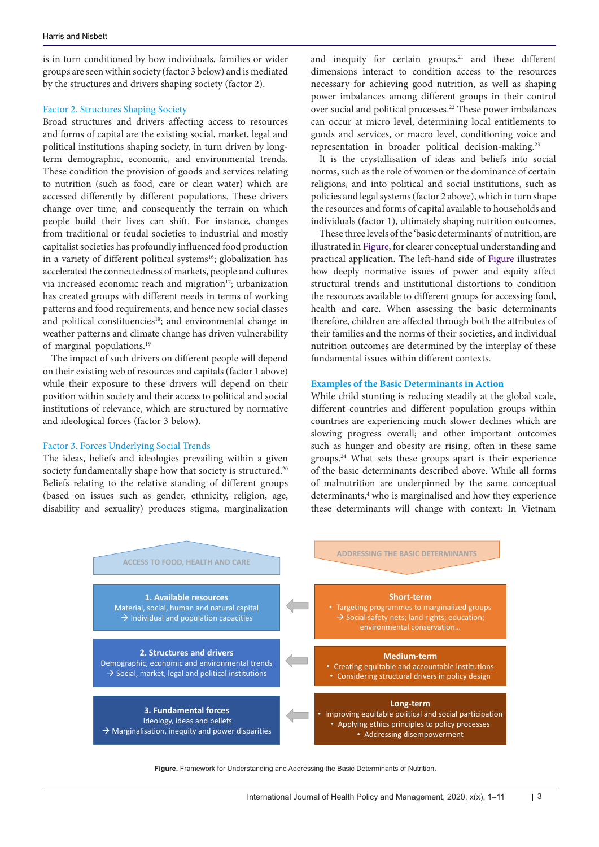is in turn conditioned by how individuals, families or wider groups are seen within society (factor 3 below) and is mediated by the structures and drivers shaping society (factor 2).

#### Factor 2. Structures Shaping Society

Broad structures and drivers affecting access to resources and forms of capital are the existing social, market, legal and political institutions shaping society, in turn driven by longterm demographic, economic, and environmental trends. These condition the provision of goods and services relating to nutrition (such as food, care or clean water) which are accessed differently by different populations. These drivers change over time, and consequently the terrain on which people build their lives can shift. For instance, changes from traditional or feudal societies to industrial and mostly capitalist societies has profoundly influenced food production in a variety of different political systems<sup>16</sup>; globalization has accelerated the connectedness of markets, people and cultures via increased economic reach and migration<sup>17</sup>; urbanization has created groups with different needs in terms of working patterns and food requirements, and hence new social classes and political constituencies<sup>18</sup>; and environmental change in weather patterns and climate change has driven vulnerability of marginal populations.19

The impact of such drivers on different people will depend on their existing web of resources and capitals (factor 1 above) while their exposure to these drivers will depend on their position within society and their access to political and social institutions of relevance, which are structured by normative and ideological forces (factor 3 below).

#### Factor 3. Forces Underlying Social Trends

The ideas, beliefs and ideologies prevailing within a given society fundamentally shape how that society is structured.<sup>20</sup> Beliefs relating to the relative standing of different groups (based on issues such as gender, ethnicity, religion, age, disability and sexuality) produces stigma, marginalization and inequity for certain groups, $21$  and these different dimensions interact to condition access to the resources necessary for achieving good nutrition, as well as shaping power imbalances among different groups in their control over social and political processes.<sup>22</sup> These power imbalances can occur at micro level, determining local entitlements to goods and services, or macro level, conditioning voice and representation in broader political decision-making.<sup>23</sup>

It is the crystallisation of ideas and beliefs into social norms, such as the role of women or the dominance of certain religions, and into political and social institutions, such as policies and legal systems (factor 2 above), which in turn shape the resources and forms of capital available to households and individuals (factor 1), ultimately shaping nutrition outcomes.

These three levels of the 'basic determinants' of nutrition, are illustrated in [Figure,](#page-2-0) for clearer conceptual understanding and practical application. The left-hand side of [Figure](#page-2-0) illustrates how deeply normative issues of power and equity affect structural trends and institutional distortions to condition the resources available to different groups for accessing food, health and care. When assessing the basic determinants therefore, children are affected through both the attributes of their families and the norms of their societies, and individual nutrition outcomes are determined by the interplay of these fundamental issues within different contexts.

#### **Examples of the Basic Determinants in Action**

<span id="page-2-0"></span>While child stunting is reducing steadily at the global scale, different countries and different population groups within countries are experiencing much slower declines which are slowing progress overall; and other important outcomes such as hunger and obesity are rising, often in these same groups.24 What sets these groups apart is their experience of the basic determinants described above. While all forms of malnutrition are underpinned by the same conceptual determinants,<sup>4</sup> who is marginalised and how they experience these determinants will change with context: In Vietnam



**Figure.** Framework for Understanding and Addressing the Basic Determinants of Nutrition.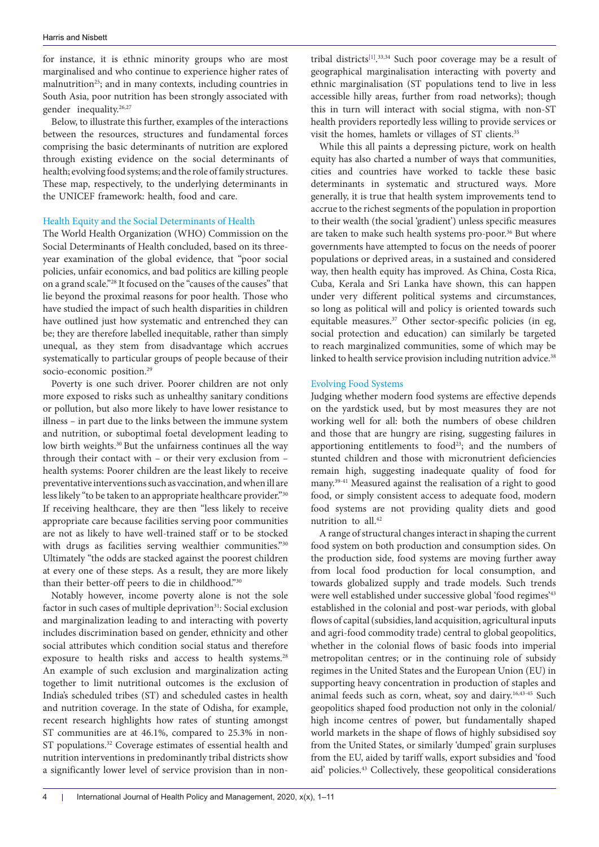for instance, it is ethnic minority groups who are most marginalised and who continue to experience higher rates of malnutrition<sup>25</sup>; and in many contexts, including countries in South Asia, poor nutrition has been strongly associated with gender inequality.<sup>26,27</sup>

Below, to illustrate this further, examples of the interactions between the resources, structures and fundamental forces comprising the basic determinants of nutrition are explored through existing evidence on the social determinants of health; evolving food systems; and the role of family structures. These map, respectively, to the underlying determinants in the UNICEF framework: health, food and care.

### Health Equity and the Social Determinants of Health

The World Health Organization (WHO) Commission on the Social Determinants of Health concluded, based on its threeyear examination of the global evidence, that "poor social policies, unfair economics, and bad politics are killing people on a grand scale."28 It focused on the "causes of the causes" that lie beyond the proximal reasons for poor health. Those who have studied the impact of such health disparities in children have outlined just how systematic and entrenched they can be; they are therefore labelled inequitable, rather than simply unequal, as they stem from disadvantage which accrues systematically to particular groups of people because of their socio-economic position.<sup>29</sup>

Poverty is one such driver. Poorer children are not only more exposed to risks such as unhealthy sanitary conditions or pollution, but also more likely to have lower resistance to illness – in part due to the links between the immune system and nutrition, or suboptimal foetal development leading to low birth weights.<sup>30</sup> But the unfairness continues all the way through their contact with – or their very exclusion from – health systems: Poorer children are the least likely to receive preventative interventions such as vaccination, and when ill are less likely "to be taken to an appropriate healthcare provider."30 If receiving healthcare, they are then "less likely to receive appropriate care because facilities serving poor communities are not as likely to have well-trained staff or to be stocked with drugs as facilities serving wealthier communities."30 Ultimately "the odds are stacked against the poorest children at every one of these steps. As a result, they are more likely than their better-off peers to die in childhood."30

Notably however, income poverty alone is not the sole factor in such cases of multiple deprivation<sup>31</sup>: Social exclusion and marginalization leading to and interacting with poverty includes discrimination based on gender, ethnicity and other social attributes which condition social status and therefore exposure to health risks and access to health systems.<sup>28</sup> An example of such exclusion and marginalization acting together to limit nutritional outcomes is the exclusion of India's scheduled tribes (ST) and scheduled castes in health and nutrition coverage. In the state of Odisha, for example, recent research highlights how rates of stunting amongst ST communities are at 46.1%, compared to 25.3% in non-ST populations.<sup>32</sup> Coverage estimates of essential health and nutrition interventions in predominantly tribal districts show a significantly lower level of service provision than in nontribal districts<sup>[1]</sup>.<sup>33,34</sup> Such poor coverage may be a result of geographical marginalisation interacting with poverty and ethnic marginalisation (ST populations tend to live in less accessible hilly areas, further from road networks); though this in turn will interact with social stigma, with non-ST health providers reportedly less willing to provide services or visit the homes, hamlets or villages of ST clients.<sup>35</sup>

While this all paints a depressing picture, work on health equity has also charted a number of ways that communities, cities and countries have worked to tackle these basic determinants in systematic and structured ways. More generally, it is true that health system improvements tend to accrue to the richest segments of the population in proportion to their wealth (the social 'gradient') unless specific measures are taken to make such health systems pro-poor.<sup>36</sup> But where governments have attempted to focus on the needs of poorer populations or deprived areas, in a sustained and considered way, then health equity has improved. As China, Costa Rica, Cuba, Kerala and Sri Lanka have shown, this can happen under very different political systems and circumstances, so long as political will and policy is oriented towards such equitable measures.<sup>37</sup> Other sector-specific policies (in eg, social protection and education) can similarly be targeted to reach marginalized communities, some of which may be linked to health service provision including nutrition advice.<sup>38</sup>

#### Evolving Food Systems

Judging whether modern food systems are effective depends on the yardstick used, but by most measures they are not working well for all: both the numbers of obese children and those that are hungry are rising, suggesting failures in apportioning entitlements to food<sup>23</sup>; and the numbers of stunted children and those with micronutrient deficiencies remain high, suggesting inadequate quality of food for many.39-41 Measured against the realisation of a right to good food, or simply consistent access to adequate food, modern food systems are not providing quality diets and good nutrition to all.<sup>42</sup>

A range of structural changes interact in shaping the current food system on both production and consumption sides. On the production side, food systems are moving further away from local food production for local consumption, and towards globalized supply and trade models. Such trends were well established under successive global 'food regimes'43 established in the colonial and post-war periods, with global flows of capital (subsidies, land acquisition, agricultural inputs and agri-food commodity trade) central to global geopolitics, whether in the colonial flows of basic foods into imperial metropolitan centres; or in the continuing role of subsidy regimes in the United States and the European Union (EU) in supporting heavy concentration in production of staples and animal feeds such as corn, wheat, soy and dairy.<sup>16,43-45</sup> Such geopolitics shaped food production not only in the colonial/ high income centres of power, but fundamentally shaped world markets in the shape of flows of highly subsidised soy from the United States, or similarly 'dumped' grain surpluses from the EU, aided by tariff walls, export subsidies and 'food aid' policies.43 Collectively, these geopolitical considerations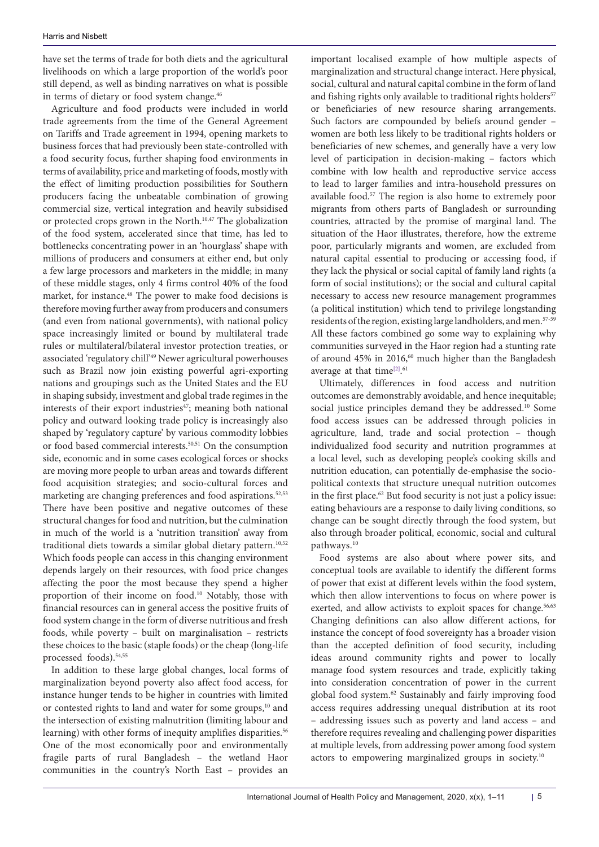have set the terms of trade for both diets and the agricultural livelihoods on which a large proportion of the world's poor still depend, as well as binding narratives on what is possible in terms of dietary or food system change.<sup>46</sup>

Agriculture and food products were included in world trade agreements from the time of the General Agreement on Tariffs and Trade agreement in 1994, opening markets to business forces that had previously been state-controlled with a food security focus, further shaping food environments in terms of availability, price and marketing of foods, mostly with the effect of limiting production possibilities for Southern producers facing the unbeatable combination of growing commercial size, vertical integration and heavily subsidised or protected crops grown in the North.10,47 The globalization of the food system, accelerated since that time, has led to bottlenecks concentrating power in an 'hourglass' shape with millions of producers and consumers at either end, but only a few large processors and marketers in the middle; in many of these middle stages, only 4 firms control 40% of the food market, for instance.48 The power to make food decisions is therefore moving further away from producers and consumers (and even from national governments), with national policy space increasingly limited or bound by multilateral trade rules or multilateral/bilateral investor protection treaties, or associated 'regulatory chill'49 Newer agricultural powerhouses such as Brazil now join existing powerful agri-exporting nations and groupings such as the United States and the EU in shaping subsidy, investment and global trade regimes in the interests of their export industries<sup>47</sup>; meaning both national policy and outward looking trade policy is increasingly also shaped by 'regulatory capture' by various commodity lobbies or food based commercial interests.50,51 On the consumption side, economic and in some cases ecological forces or shocks are moving more people to urban areas and towards different food acquisition strategies; and socio-cultural forces and marketing are changing preferences and food aspirations.<sup>52,53</sup> There have been positive and negative outcomes of these structural changes for food and nutrition, but the culmination in much of the world is a 'nutrition transition' away from traditional diets towards a similar global dietary pattern.<sup>10,52</sup> Which foods people can access in this changing environment depends largely on their resources, with food price changes affecting the poor the most because they spend a higher proportion of their income on food.10 Notably, those with financial resources can in general access the positive fruits of food system change in the form of diverse nutritious and fresh foods, while poverty – built on marginalisation – restricts these choices to the basic (staple foods) or the cheap (long-life processed foods).54,55

In addition to these large global changes, local forms of marginalization beyond poverty also affect food access, for instance hunger tends to be higher in countries with limited or contested rights to land and water for some groups,<sup>10</sup> and the intersection of existing malnutrition (limiting labour and learning) with other forms of inequity amplifies disparities.<sup>56</sup> One of the most economically poor and environmentally fragile parts of rural Bangladesh – the wetland Haor communities in the country's North East – provides an

important localised example of how multiple aspects of marginalization and structural change interact. Here physical, social, cultural and natural capital combine in the form of land and fishing rights only available to traditional rights holders<sup>57</sup> or beneficiaries of new resource sharing arrangements. Such factors are compounded by beliefs around gender – women are both less likely to be traditional rights holders or beneficiaries of new schemes, and generally have a very low level of participation in decision-making – factors which combine with low health and reproductive service access to lead to larger families and intra-household pressures on available food.57 The region is also home to extremely poor migrants from others parts of Bangladesh or surrounding countries, attracted by the promise of marginal land. The situation of the Haor illustrates, therefore, how the extreme poor, particularly migrants and women, are excluded from natural capital essential to producing or accessing food, if they lack the physical or social capital of family land rights (a form of social institutions); or the social and cultural capital necessary to access new resource management programmes (a political institution) which tend to privilege longstanding residents of the region, existing large landholders, and men.<sup>57-59</sup> All these factors combined go some way to explaining why communities surveyed in the Haor region had a stunting rate of around  $45\%$  in 2016,<sup>60</sup> much higher than the Bangladesh average at that time<sup>[2]</sup>.<sup>61</sup>

Ultimately, differences in food access and nutrition outcomes are demonstrably avoidable, and hence inequitable; social justice principles demand they be addressed.<sup>10</sup> Some food access issues can be addressed through policies in agriculture, land, trade and social protection – though individualized food security and nutrition programmes at a local level, such as developing people's cooking skills and nutrition education, can potentially de-emphasise the sociopolitical contexts that structure unequal nutrition outcomes in the first place.<sup>62</sup> But food security is not just a policy issue: eating behaviours are a response to daily living conditions, so change can be sought directly through the food system, but also through broader political, economic, social and cultural pathways.10

Food systems are also about where power sits, and conceptual tools are available to identify the different forms of power that exist at different levels within the food system, which then allow interventions to focus on where power is exerted, and allow activists to exploit spaces for change.<sup>56,63</sup> Changing definitions can also allow different actions, for instance the concept of food sovereignty has a broader vision than the accepted definition of food security, including ideas around community rights and power to locally manage food system resources and trade, explicitly taking into consideration concentration of power in the current global food system.62 Sustainably and fairly improving food access requires addressing unequal distribution at its root – addressing issues such as poverty and land access – and therefore requires revealing and challenging power disparities at multiple levels, from addressing power among food system actors to empowering marginalized groups in society.10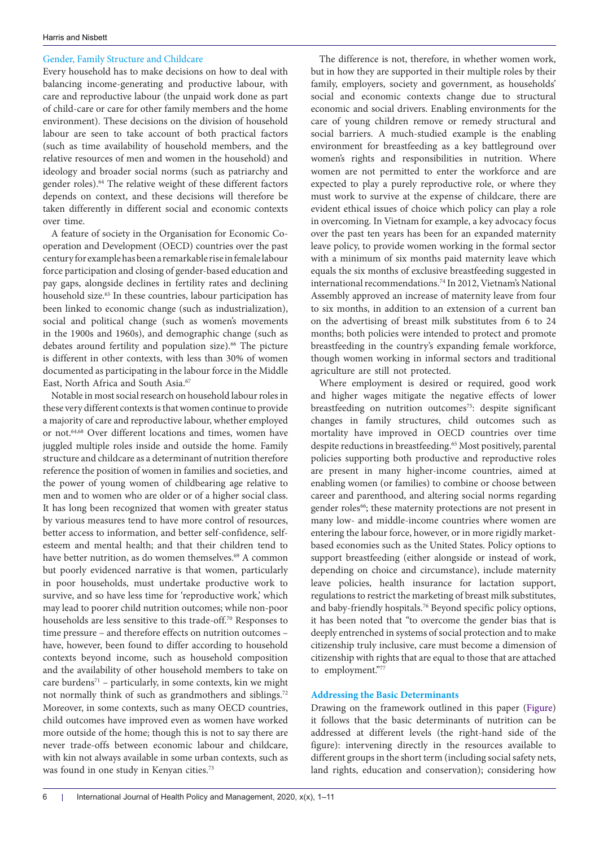#### Gender, Family Structure and Childcare

Every household has to make decisions on how to deal with balancing income-generating and productive labour, with care and reproductive labour (the unpaid work done as part of child-care or care for other family members and the home environment). These decisions on the division of household labour are seen to take account of both practical factors (such as time availability of household members, and the relative resources of men and women in the household) and ideology and broader social norms (such as patriarchy and gender roles).64 The relative weight of these different factors depends on context, and these decisions will therefore be taken differently in different social and economic contexts over time.

A feature of society in the Organisation for Economic Cooperation and Development (OECD) countries over the past century for example has been a remarkable rise in female labour force participation and closing of gender-based education and pay gaps, alongside declines in fertility rates and declining household size.<sup>65</sup> In these countries, labour participation has been linked to economic change (such as industrialization), social and political change (such as women's movements in the 1900s and 1960s), and demographic change (such as debates around fertility and population size).<sup>66</sup> The picture is different in other contexts, with less than 30% of women documented as participating in the labour force in the Middle East, North Africa and South Asia.<sup>67</sup>

Notable in most social research on household labour roles in these very different contexts is that women continue to provide a majority of care and reproductive labour, whether employed or not.64,68 Over different locations and times, women have juggled multiple roles inside and outside the home. Family structure and childcare as a determinant of nutrition therefore reference the position of women in families and societies, and the power of young women of childbearing age relative to men and to women who are older or of a higher social class. It has long been recognized that women with greater status by various measures tend to have more control of resources, better access to information, and better self-confidence, selfesteem and mental health; and that their children tend to have better nutrition, as do women themselves.<sup>69</sup> A common but poorly evidenced narrative is that women, particularly in poor households, must undertake productive work to survive, and so have less time for 'reproductive work' which may lead to poorer child nutrition outcomes; while non-poor households are less sensitive to this trade-off.70 Responses to time pressure – and therefore effects on nutrition outcomes – have, however, been found to differ according to household contexts beyond income, such as household composition and the availability of other household members to take on care burdens<sup>71</sup> – particularly, in some contexts, kin we might not normally think of such as grandmothers and siblings.72 Moreover, in some contexts, such as many OECD countries, child outcomes have improved even as women have worked more outside of the home; though this is not to say there are never trade-offs between economic labour and childcare, with kin not always available in some urban contexts, such as was found in one study in Kenyan cities.<sup>73</sup>

The difference is not, therefore, in whether women work, but in how they are supported in their multiple roles by their family, employers, society and government, as households' social and economic contexts change due to structural economic and social drivers. Enabling environments for the care of young children remove or remedy structural and social barriers. A much-studied example is the enabling environment for breastfeeding as a key battleground over women's rights and responsibilities in nutrition. Where women are not permitted to enter the workforce and are expected to play a purely reproductive role, or where they must work to survive at the expense of childcare, there are evident ethical issues of choice which policy can play a role in overcoming. In Vietnam for example, a key advocacy focus over the past ten years has been for an expanded maternity leave policy, to provide women working in the formal sector with a minimum of six months paid maternity leave which equals the six months of exclusive breastfeeding suggested in international recommendations.74 In 2012, Vietnam's National Assembly approved an increase of maternity leave from four to six months, in addition to an extension of a current ban on the advertising of breast milk substitutes from 6 to 24 months; both policies were intended to protect and promote breastfeeding in the country's expanding female workforce, though women working in informal sectors and traditional agriculture are still not protected.

Where employment is desired or required, good work and higher wages mitigate the negative effects of lower breastfeeding on nutrition outcomes<sup>75</sup>: despite significant changes in family structures, child outcomes such as mortality have improved in OECD countries over time despite reductions in breastfeeding.<sup>65</sup> Most positively, parental policies supporting both productive and reproductive roles are present in many higher-income countries, aimed at enabling women (or families) to combine or choose between career and parenthood, and altering social norms regarding gender roles<sup>66</sup>; these maternity protections are not present in many low- and middle-income countries where women are entering the labour force, however, or in more rigidly marketbased economies such as the United States. Policy options to support breastfeeding (either alongside or instead of work, depending on choice and circumstance), include maternity leave policies, health insurance for lactation support, regulations to restrict the marketing of breast milk substitutes, and baby-friendly hospitals.<sup>76</sup> Beyond specific policy options, it has been noted that "to overcome the gender bias that is deeply entrenched in systems of social protection and to make citizenship truly inclusive, care must become a dimension of citizenship with rights that are equal to those that are attached to employment."77

#### **Addressing the Basic Determinants**

Drawing on the framework outlined in this paper ([Figure](#page-2-0)) it follows that the basic determinants of nutrition can be addressed at different levels (the right-hand side of the figure): intervening directly in the resources available to different groups in the short term (including social safety nets, land rights, education and conservation); considering how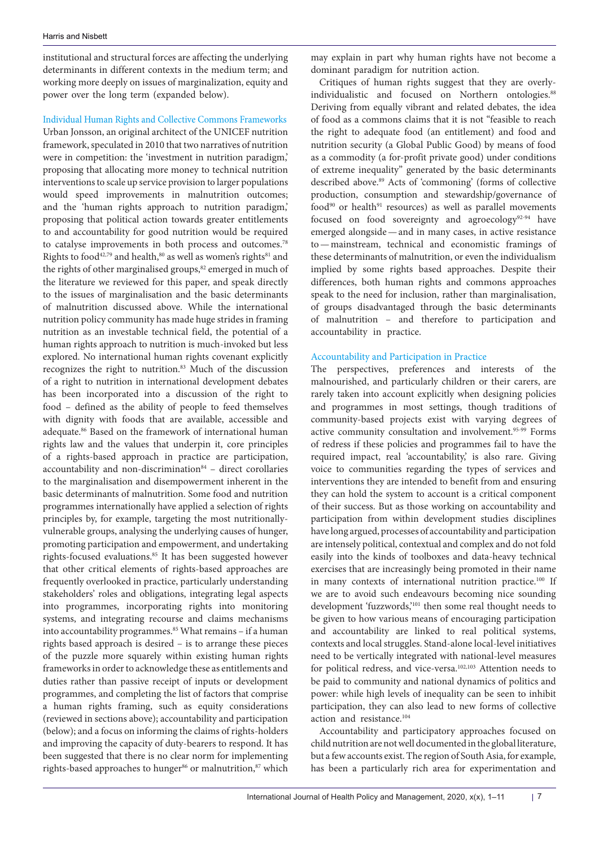institutional and structural forces are affecting the underlying determinants in different contexts in the medium term; and working more deeply on issues of marginalization, equity and power over the long term (expanded below).

#### Individual Human Rights and Collective Commons Frameworks

Urban Jonsson, an original architect of the UNICEF nutrition framework, speculated in 2010 that two narratives of nutrition were in competition: the 'investment in nutrition paradigm,' proposing that allocating more money to technical nutrition interventions to scale up service provision to larger populations would speed improvements in malnutrition outcomes; and the 'human rights approach to nutrition paradigm,' proposing that political action towards greater entitlements to and accountability for good nutrition would be required to catalyse improvements in both process and outcomes.78 Rights to food<sup>42,79</sup> and health,<sup>80</sup> as well as women's rights<sup>81</sup> and the rights of other marginalised groups,<sup>82</sup> emerged in much of the literature we reviewed for this paper, and speak directly to the issues of marginalisation and the basic determinants of malnutrition discussed above. While the international nutrition policy community has made huge strides in framing nutrition as an investable technical field, the potential of a human rights approach to nutrition is much-invoked but less explored. No international human rights covenant explicitly recognizes the right to nutrition. $83$  Much of the discussion of a right to nutrition in international development debates has been incorporated into a discussion of the right to food – defined as the ability of people to feed themselves with dignity with foods that are available, accessible and adequate.86 Based on the framework of international human rights law and the values that underpin it, core principles of a rights-based approach in practice are participation, accountability and non-discrimination $84$  – direct corollaries to the marginalisation and disempowerment inherent in the basic determinants of malnutrition. Some food and nutrition programmes internationally have applied a selection of rights principles by, for example, targeting the most nutritionallyvulnerable groups, analysing the underlying causes of hunger, promoting participation and empowerment, and undertaking rights-focused evaluations.<sup>85</sup> It has been suggested however that other critical elements of rights-based approaches are frequently overlooked in practice, particularly understanding stakeholders' roles and obligations, integrating legal aspects into programmes, incorporating rights into monitoring systems, and integrating recourse and claims mechanisms into accountability programmes.<sup>85</sup> What remains - if a human rights based approach is desired – is to arrange these pieces of the puzzle more squarely within existing human rights frameworks in order to acknowledge these as entitlements and duties rather than passive receipt of inputs or development programmes, and completing the list of factors that comprise a human rights framing, such as equity considerations (reviewed in sections above); accountability and participation (below); and a focus on informing the claims of rights-holders and improving the capacity of duty-bearers to respond. It has been suggested that there is no clear norm for implementing rights-based approaches to hunger<sup>86</sup> or malnutrition,<sup>87</sup> which may explain in part why human rights have not become a dominant paradigm for nutrition action.

Critiques of human rights suggest that they are overlyindividualistic and focused on Northern ontologies.<sup>88</sup> Deriving from equally vibrant and related debates, the idea of food as a commons claims that it is not "feasible to reach the right to adequate food (an entitlement) and food and nutrition security (a Global Public Good) by means of food as a commodity (a for-profit private good) under conditions of extreme inequality" generated by the basic determinants described above.89 Acts of 'commoning' (forms of collective production, consumption and stewardship/governance of food<sup>90</sup> or health<sup>91</sup> resources) as well as parallel movements focused on food sovereignty and agroecology<sup>92-94</sup> have emerged alongside—and in many cases, in active resistance to—mainstream, technical and economistic framings of these determinants of malnutrition, or even the individualism implied by some rights based approaches. Despite their differences, both human rights and commons approaches speak to the need for inclusion, rather than marginalisation, of groups disadvantaged through the basic determinants of malnutrition – and therefore to participation and accountability in practice.

#### Accountability and Participation in Practice

The perspectives, preferences and interests of the malnourished, and particularly children or their carers, are rarely taken into account explicitly when designing policies and programmes in most settings, though traditions of community-based projects exist with varying degrees of active community consultation and involvement.<sup>95-99</sup> Forms of redress if these policies and programmes fail to have the required impact, real 'accountability,' is also rare. Giving voice to communities regarding the types of services and interventions they are intended to benefit from and ensuring they can hold the system to account is a critical component of their success. But as those working on accountability and participation from within development studies disciplines have long argued, processes of accountability and participation are intensely political, contextual and complex and do not fold easily into the kinds of toolboxes and data-heavy technical exercises that are increasingly being promoted in their name in many contexts of international nutrition practice.<sup>100</sup> If we are to avoid such endeavours becoming nice sounding development 'fuzzwords,'101 then some real thought needs to be given to how various means of encouraging participation and accountability are linked to real political systems, contexts and local struggles. Stand-alone local-level initiatives need to be vertically integrated with national-level measures for political redress, and vice-versa.102,103 Attention needs to be paid to community and national dynamics of politics and power: while high levels of inequality can be seen to inhibit participation, they can also lead to new forms of collective action and resistance.104

Accountability and participatory approaches focused on child nutrition are not well documented in the global literature, but a few accounts exist. The region of South Asia, for example, has been a particularly rich area for experimentation and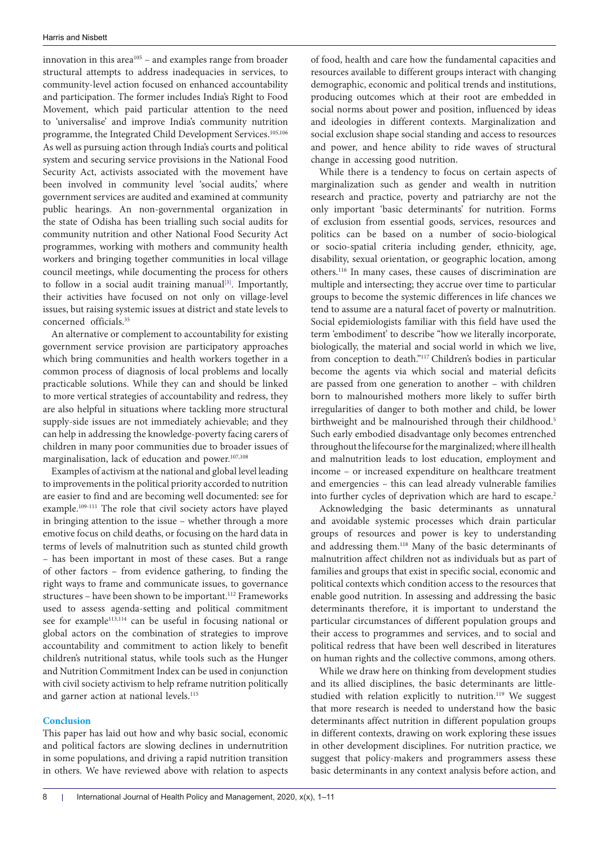innovation in this area $105$  – and examples range from broader structural attempts to address inadequacies in services, to community-level action focused on enhanced accountability and participation. The former includes India's Right to Food Movement, which paid particular attention to the need to 'universalise' and improve India's community nutrition programme, the Integrated Child Development Services.<sup>105,106</sup> As well as pursuing action through India's courts and political system and securing service provisions in the National Food Security Act, activists associated with the movement have been involved in community level 'social audits,' where government services are audited and examined at community public hearings. An non-governmental organization in the state of Odisha has been trialling such social audits for community nutrition and other National Food Security Act programmes, working with mothers and community health workers and bringing together communities in local village council meetings, while documenting the process for others to follow in a social audit training manual $[3]$ . Importantly, their activities have focused on not only on village-level issues, but raising systemic issues at district and state levels to concerned officials.35

An alternative or complement to accountability for existing government service provision are participatory approaches which bring communities and health workers together in a common process of diagnosis of local problems and locally practicable solutions. While they can and should be linked to more vertical strategies of accountability and redress, they are also helpful in situations where tackling more structural supply-side issues are not immediately achievable; and they can help in addressing the knowledge-poverty facing carers of children in many poor communities due to broader issues of marginalisation, lack of education and power.107,108

Examples of activism at the national and global level leading to improvements in the political priority accorded to nutrition are easier to find and are becoming well documented: see for example.109-111 The role that civil society actors have played in bringing attention to the issue – whether through a more emotive focus on child deaths, or focusing on the hard data in terms of levels of malnutrition such as stunted child growth – has been important in most of these cases. But a range of other factors – from evidence gathering, to finding the right ways to frame and communicate issues, to governance structures - have been shown to be important.<sup>112</sup> Frameworks used to assess agenda-setting and political commitment see for example<sup>113,114</sup> can be useful in focusing national or global actors on the combination of strategies to improve accountability and commitment to action likely to benefit children's nutritional status, while tools such as the Hunger and Nutrition Commitment Index can be used in conjunction with civil society activism to help reframe nutrition politically and garner action at national levels.<sup>115</sup>

#### **Conclusion**

This paper has laid out how and why basic social, economic and political factors are slowing declines in undernutrition in some populations, and driving a rapid nutrition transition in others. We have reviewed above with relation to aspects

of food, health and care how the fundamental capacities and resources available to different groups interact with changing demographic, economic and political trends and institutions, producing outcomes which at their root are embedded in social norms about power and position, influenced by ideas and ideologies in different contexts. Marginalization and social exclusion shape social standing and access to resources and power, and hence ability to ride waves of structural change in accessing good nutrition.

While there is a tendency to focus on certain aspects of marginalization such as gender and wealth in nutrition research and practice, poverty and patriarchy are not the only important 'basic determinants' for nutrition. Forms of exclusion from essential goods, services, resources and politics can be based on a number of socio-biological or socio-spatial criteria including gender, ethnicity, age, disability, sexual orientation, or geographic location, among others.116 In many cases, these causes of discrimination are multiple and intersecting; they accrue over time to particular groups to become the systemic differences in life chances we tend to assume are a natural facet of poverty or malnutrition. Social epidemiologists familiar with this field have used the term 'embodiment' to describe "how we literally incorporate, biologically, the material and social world in which we live, from conception to death."117 Children's bodies in particular become the agents via which social and material deficits are passed from one generation to another – with children born to malnourished mothers more likely to suffer birth irregularities of danger to both mother and child, be lower birthweight and be malnourished through their childhood.<sup>5</sup> Such early embodied disadvantage only becomes entrenched throughout the lifecourse for the marginalized; where ill health and malnutrition leads to lost education, employment and income – or increased expenditure on healthcare treatment and emergencies – this can lead already vulnerable families into further cycles of deprivation which are hard to escape.<sup>2</sup>

Acknowledging the basic determinants as unnatural and avoidable systemic processes which drain particular groups of resources and power is key to understanding and addressing them.118 Many of the basic determinants of malnutrition affect children not as individuals but as part of families and groups that exist in specific social, economic and political contexts which condition access to the resources that enable good nutrition. In assessing and addressing the basic determinants therefore, it is important to understand the particular circumstances of different population groups and their access to programmes and services, and to social and political redress that have been well described in literatures on human rights and the collective commons, among others.

While we draw here on thinking from development studies and its allied disciplines, the basic determinants are littlestudied with relation explicitly to nutrition.<sup>119</sup> We suggest that more research is needed to understand how the basic determinants affect nutrition in different population groups in different contexts, drawing on work exploring these issues in other development disciplines. For nutrition practice, we suggest that policy-makers and programmers assess these basic determinants in any context analysis before action, and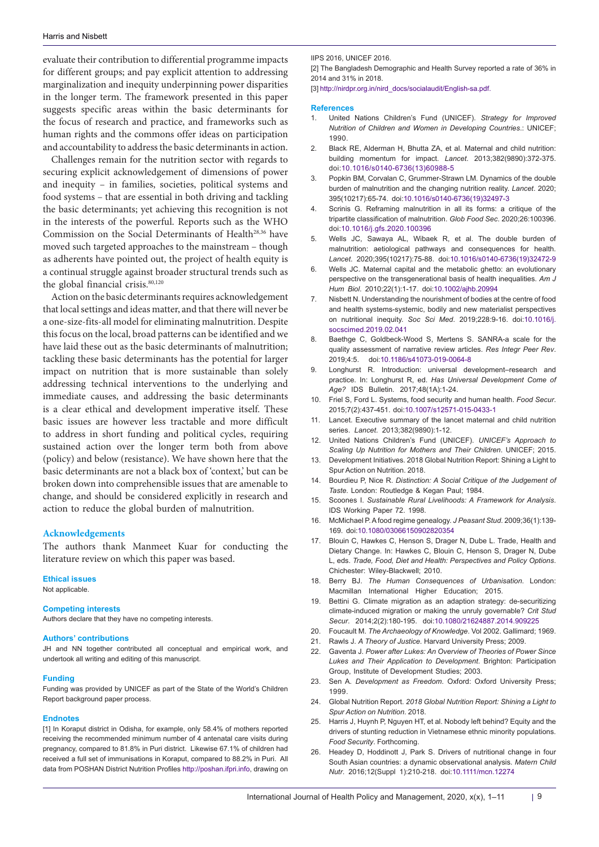evaluate their contribution to differential programme impacts for different groups; and pay explicit attention to addressing marginalization and inequity underpinning power disparities in the longer term. The framework presented in this paper suggests specific areas within the basic determinants for the focus of research and practice, and frameworks such as human rights and the commons offer ideas on participation and accountability to address the basic determinants in action.

Challenges remain for the nutrition sector with regards to securing explicit acknowledgement of dimensions of power and inequity – in families, societies, political systems and food systems – that are essential in both driving and tackling the basic determinants; yet achieving this recognition is not in the interests of the powerful. Reports such as the WHO Commission on the Social Determinants of Health<sup>28,36</sup> have moved such targeted approaches to the mainstream – though as adherents have pointed out, the project of health equity is a continual struggle against broader structural trends such as the global financial crisis.<sup>80,120</sup>

Action on the basic determinants requires acknowledgement that local settings and ideas matter, and that there will never be a one-size-fits-all model for eliminating malnutrition. Despite this focus on the local, broad patterns can be identified and we have laid these out as the basic determinants of malnutrition; tackling these basic determinants has the potential for larger impact on nutrition that is more sustainable than solely addressing technical interventions to the underlying and immediate causes, and addressing the basic determinants is a clear ethical and development imperative itself. These basic issues are however less tractable and more difficult to address in short funding and political cycles, requiring sustained action over the longer term both from above (policy) and below (resistance). We have shown here that the basic determinants are not a black box of 'context,' but can be broken down into comprehensible issues that are amenable to change, and should be considered explicitly in research and action to reduce the global burden of malnutrition.

#### **Acknowledgements**

The authors thank Manmeet Kuar for conducting the literature review on which this paper was based.

#### **Ethical issues**

Not applicable.

#### **Competing interests**

Authors declare that they have no competing interests.

#### **Authors' contributions**

JH and NN together contributed all conceptual and empirical work, and undertook all writing and editing of this manuscript.

#### **Funding**

Funding was provided by UNICEF as part of the State of the World's Children Report background paper process.

#### **Endnotes**

<span id="page-8-0"></span>[1] In Koraput district in Odisha, for example, only 58.4% of mothers reported receiving the recommended minimum number of 4 antenatal care visits during pregnancy, compared to 81.8% in Puri district. Likewise 67.1% of children had received a full set of immunisations in Koraput, compared to 88.2% in Puri. All data from POSHAN District Nutrition Profiles<http://poshan.ifpri.info>, drawing on

IIPS 2016, UNICEF 2016.

<span id="page-8-1"></span>[2] The Bangladesh Demographic and Health Survey reported a rate of 36% in 2014 and 31% in 2018.

<span id="page-8-2"></span>[3] [http://nirdpr.org.in/nird\\_docs/socialaudit/English-sa.pdf.](http://nirdpr.org.in/nird_docs/socialaudit/English-sa.pdf.)

#### **References**

- 1. United Nations Children's Fund (UNICEF). *Strategy for Improved Nutrition of Children and Women in Developing Countries*.: UNICEF; 1990.
- 2. Black RE, Alderman H, Bhutta ZA, et al. Maternal and child nutrition: building momentum for impact. *Lancet*. 2013;382(9890):372-375. doi:[10.1016/s0140-6736\(13\)60988-5](https://doi.org/10.1016/s0140-6736(13)60988-5)
- 3. Popkin BM, Corvalan C, Grummer-Strawn LM. Dynamics of the double burden of malnutrition and the changing nutrition reality. *Lancet*. 2020; 395(10217):65-74. doi[:10.1016/s0140-6736\(19\)32497-3](https://doi.org/10.1016/s0140-6736(19)32497-3)
- Scrinis G. Reframing malnutrition in all its forms: a critique of the tripartite classification of malnutrition. *Glob Food Sec*. 2020;26:100396. doi[:10.1016/j.gfs.2020.100396](https://doi.org/10.1016/j.gfs.2020.100396)
- 5. Wells JC, Sawaya AL, Wibaek R, et al. The double burden of malnutrition: aetiological pathways and consequences for health. *Lancet*. 2020;395(10217):75-88. doi[:10.1016/s0140-6736\(19\)32472-9](https://doi.org/10.1016/s0140-6736(19)32472-9)
- 6. Wells JC. Maternal capital and the metabolic ghetto: an evolutionary perspective on the transgenerational basis of health inequalities. *Am J Hum Biol*. 2010;22(1):1-17. doi[:10.1002/ajhb.20994](https://doi.org/10.1002/ajhb.20994)
- 7. Nisbett N. Understanding the nourishment of bodies at the centre of food and health systems-systemic, bodily and new materialist perspectives on nutritional inequity. *Soc Sci Med*. 2019;228:9-16. doi[:10.1016/j.](https://doi.org/10.1016/j.socscimed.2019.02.041) [socscimed.2019.02.041](https://doi.org/10.1016/j.socscimed.2019.02.041)
- 8. Baethge C, Goldbeck-Wood S, Mertens S. SANRA-a scale for the quality assessment of narrative review articles. *Res Integr Peer Rev*. 2019;4:5. doi[:10.1186/s41073-019-0064-8](https://doi.org/10.1186/s41073-019-0064-8)
- 9. Longhurst R. Introduction: universal development–research and practice. In: Longhurst R, ed. *Has Universal Development Come of Age?* IDS Bulletin*.* 2017;48(1A):1-24.
- 10. Friel S, Ford L. Systems, food security and human health. *Food Secur*. 2015;7(2):437-451. doi[:10.1007/s12571-015-0433-1](https://doi.org/10.1007/s12571-015-0433-1)
- 11. Lancet. Executive summary of the lancet maternal and child nutrition series. *Lancet*. 2013;382(9890):1-12.
- 12. United Nations Children's Fund (UNICEF). *UNICEF's Approach to Scaling Up Nutrition for Mothers and Their Children*. UNICEF; 2015.
- 13. Development Initiatives. 2018 Global Nutrition Report: Shining a Light to Spur Action on Nutrition. 2018.
- 14. Bourdieu P, Nice R. *Distinction: A Social Critique of the Judgement of Taste*. London: Routledge & Kegan Paul; 1984.
- 15. Scoones I. *Sustainable Rural Livelihoods: A Framework for Analysis*. IDS Working Paper 72. 1998.
- 16. McMichael P. A food regime genealogy. *J Peasant Stud*. 2009;36(1):139- 169. doi:[10.1080/03066150902820354](https://doi.org/10.1080/03066150902820354)
- 17. Blouin C, Hawkes C, Henson S, Drager N, Dube L. Trade, Health and Dietary Change. In: Hawkes C, Blouin C, Henson S, Drager N, Dube L, eds. *Trade, Food, Diet and Health: Perspectives and Policy Options*. Chichester: Wiley-Blackwell; 2010.
- 18. Berry BJ. *The Human Consequences of Urbanisation*. London: Macmillan International Higher Education; 2015.
- 19. Bettini G. Climate migration as an adaption strategy: de-securitizing climate-induced migration or making the unruly governable? *Crit Stud Secur*. 2014;2(2):180-195. doi:[10.1080/21624887.2014.909225](https://doi.org/10.1080/21624887.2014.909225)
- 20. Foucault M. *The Archaeology of Knowledge*. Vol 2002. Gallimard; 1969.
- 21. Rawls J. *A Theory of Justice*. Harvard University Press; 2009.
- 22. Gaventa J. *Power after Lukes: An Overview of Theories of Power Since Lukes and Their Application to Development*. Brighton: Participation Group, Institute of Development Studies; 2003.
- 23. Sen A. *Development as Freedom*. Oxford: Oxford University Press; 1999.
- 24. Global Nutrition Report. *2018 Global Nutrition Report: Shining a Light to Spur Action on Nutrition*. 2018.
- 25. Harris J, Huynh P, Nguyen HT, et al. Nobody left behind? Equity and the drivers of stunting reduction in Vietnamese ethnic minority populations. *Food Security*. Forthcoming.
- 26. Headey D, Hoddinott J, Park S. Drivers of nutritional change in four South Asian countries: a dynamic observational analysis. *Matern Child Nutr*. 2016;12(Suppl 1):210-218. doi:[10.1111/mcn.12274](https://doi.org/10.1111/mcn.12274)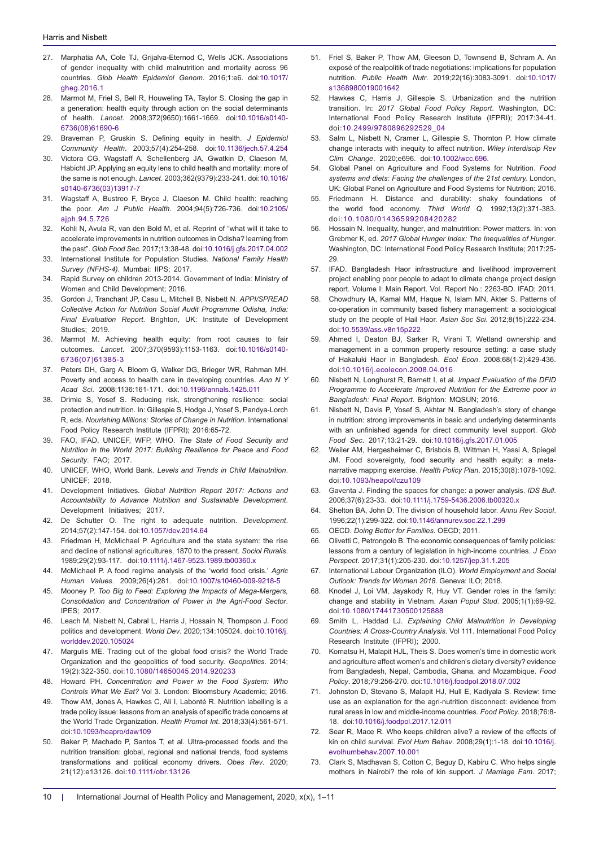- 27. Marphatia AA, Cole TJ, Grijalva-Eternod C, Wells JCK. Associations of gender inequality with child malnutrition and mortality across 96 countries. *Glob Health Epidemiol Genom*. 2016;1:e6. doi[:10.1017/](https://doi.org/10.1017/gheg.2016.1) [gheg.2016.1](https://doi.org/10.1017/gheg.2016.1)
- 28. Marmot M, Friel S, Bell R, Houweling TA, Taylor S. Closing the gap in a generation: health equity through action on the social determinants of health. *Lancet*. 2008;372(9650):1661-1669. doi[:10.1016/s0140-](https://doi.org/10.1016/s0140-6736(08)61690-6) [6736\(08\)61690-6](https://doi.org/10.1016/s0140-6736(08)61690-6)
- 29. Braveman P, Gruskin S. Defining equity in health. *J Epidemiol Community Health*. 2003;57(4):254-258. doi:[10.1136/jech.57.4.254](https://doi.org/10.1136/jech.57.4.254)
- 30. Victora CG, Wagstaff A, Schellenberg JA, Gwatkin D, Claeson M, Habicht JP. Applying an equity lens to child health and mortality: more of the same is not enough. *Lancet*. 2003;362(9379):233-241. doi[:10.1016/](https://doi.org/10.1016/s0140-6736(03)13917-7) [s0140-6736\(03\)13917-7](https://doi.org/10.1016/s0140-6736(03)13917-7)
- 31. Wagstaff A, Bustreo F, Bryce J, Claeson M. Child health: reaching the poor. *Am J Public Health*. 2004;94(5):726-736. doi[:10.2105/](https://doi.org/10.2105/ajph.94.5.726) [ajph.94.5.726](https://doi.org/10.2105/ajph.94.5.726)
- 32. Kohli N, Avula R, van den Bold M, et al. Reprint of "what will it take to accelerate improvements in nutrition outcomes in Odisha? learning from the past". *Glob Food Sec*. 2017;13:38-48. doi[:10.1016/j.gfs.2017.04.002](https://doi.org/10.1016/j.gfs.2017.04.002)
- 33. International Institute for Population Studies. *National Family Health Survey (NFHS-4).* Mumbai: IIPS; 2017.
- 34. Rapid Survey on children 2013-2014. Government of India: Ministry of Women and Child Development; 2016.
- 35. Gordon J, Tranchant JP, Casu L, Mitchell B, Nisbett N. *APPI/SPREAD Collective Action for Nutrition Social Audit Programme Odisha, India: Final Evaluation Report*. Brighton, UK: Institute of Development Studies; 2019.
- 36. Marmot M. Achieving health equity: from root causes to fair outcomes. *Lancet*. 2007;370(9593):1153-1163. doi[:10.1016/s0140-](https://doi.org/10.1016/s0140-6736(07)61385-3) [6736\(07\)61385-3](https://doi.org/10.1016/s0140-6736(07)61385-3)
- 37. Peters DH, Garg A, Bloom G, Walker DG, Brieger WR, Rahman MH. Poverty and access to health care in developing countries. *Ann N Y Acad Sci*. 2008;1136:161-171. doi:[10.1196/annals.1425.011](https://doi.org/10.1196/annals.1425.011)
- 38. Drimie S, Yosef S. Reducing risk, strengthening resilience: social protection and nutrition. In: Gillespie S, Hodge J, Yosef S, Pandya-Lorch R, eds. *Nourishing Millions: Stories of Change in Nutrition*. International Food Policy Research Institute (IFPRI); 2016:65-72.
- 39. FAO, IFAD, UNICEF, WFP, WHO. *The State of Food Security and Nutrition in the World 2017: Building Resilience for Peace and Food Security*. FAO; 2017.
- 40. UNICEF, WHO, World Bank. *Levels and Trends in Child Malnutrition*. UNICEF; 2018.
- 41. Development Initiatives. *Global Nutrition Report 2017: Actions and Accountability to Advance Nutrition and Sustainable Development*. Development Initiatives; 2017.
- 42. De Schutter O. The right to adequate nutrition. *Development*. 2014;57(2):147-154. doi[:10.1057/dev.2014.64](https://doi.org/10.1057/dev.2014.64)
- 43. Friedman H, McMichael P. Agriculture and the state system: the rise and decline of national agricultures, 1870 to the present. *Sociol Ruralis*. 1989;29(2):93-117. doi:[10.1111/j.1467-9523.1989.tb00360.x](https://doi.org/10.1111/j.1467-9523.1989.tb00360.x)
- 44. McMichael P. A food regime analysis of the 'world food crisis.' *Agric Human Values*. 2009;26(4):281. doi:[10.1007/s10460-009-9218-5](https://doi.org/10.1007/s10460-009-9218-5)
- 45. Mooney P. *Too Big to Feed: Exploring the Impacts of Mega-Mergers, Consolidation and Concentration of Power in the Agri-Food Sector*. IPES; 2017.
- 46. Leach M, Nisbett N, Cabral L, Harris J, Hossain N, Thompson J. Food politics and development. *World Dev*. 2020;134:105024. doi:[10.1016/j.](https://doi.org/10.1016/j.worlddev.2020.105024) [worlddev.2020.105024](https://doi.org/10.1016/j.worlddev.2020.105024)
- 47. Margulis ME. Trading out of the global food crisis? the World Trade Organization and the geopolitics of food security. *Geopolitics*. 2014; 19(2):322-350. doi:[10.1080/14650045.2014.920233](https://doi.org/10.1080/14650045.2014.920233)
- 48. Howard PH. *Concentration and Power in the Food System: Who Controls What We Eat?* Vol 3. London: Bloomsbury Academic; 2016.
- 49. Thow AM, Jones A, Hawkes C, Ali I, Labonté R. Nutrition labelling is a trade policy issue: lessons from an analysis of specific trade concerns at the World Trade Organization. *Health Promot Int*. 2018;33(4):561-571. doi[:10.1093/heapro/daw109](https://doi.org/10.1093/heapro/daw109)
- 50. Baker P, Machado P, Santos T, et al. Ultra-processed foods and the nutrition transition: global, regional and national trends, food systems transformations and political economy drivers. *Obes Rev*. 2020; 21(12):e13126. doi:[10.1111/obr.13126](https://doi.org/10.1111/obr.13126)
- 51. Friel S, Baker P, Thow AM, Gleeson D, Townsend B, Schram A. An exposé of the realpolitik of trade negotiations: implications for population nutrition. *Public Health Nutr*. 2019;22(16):3083-3091. doi:[10.1017/](https://doi.org/10.1017/s1368980019001642) [s1368980019001642](https://doi.org/10.1017/s1368980019001642)
- 52. Hawkes C, Harris J, Gillespie S. Urbanization and the nutrition transition. In: *2017 Global Food Policy Report*. Washington, DC: International Food Policy Research Institute (IFPRI); 2017:34-41. doi:[10.2499/9780896292529\\_04](https://doi.org/10.2499/9780896292529_04 )
- 53. Salm L, Nisbett N, Cramer L, Gillespie S, Thornton P. How climate change interacts with inequity to affect nutrition. *Wiley Interdiscip Rev Clim Change*. 2020;e696. doi:[10.1002/wcc.696](https://doi.org/10.1002/wcc.696).
- 54. Global Panel on Agriculture and Food Systems for Nutrition. *Food systems and diets: Facing the challenges of the 21st century.* London, UK: Global Panel on Agriculture and Food Systems for Nutrition; 2016.
- 55. Friedmann H. Distance and durability: shaky foundations of the world food economy. *Third World Q*. 1992;13(2):371-383. doi:[10.1080/01436599208420282](https://doi.org/10.1080/01436599208420282)
- 56. Hossain N. Inequality, hunger, and malnutrition: Power matters. In: von Grebmer K, ed. *2017 Global Hunger Index: The Inequalities of Hunger*. Washington, DC: International Food Policy Research Institute; 2017:25- 29.
- 57. IFAD. Bangladesh Haor infrastructure and livelihood improvement project enabling poor people to adapt to climate change project design report. Volume I: Main Report. Vol. Report No.: 2263-BD. IFAD; 2011.
- 58. Chowdhury IA, Kamal MM, Haque N, Islam MN, Akter S. Patterns of co-operation in community based fishery management: a sociological study on the people of Hail Haor. *Asian Soc Sci*. 2012;8(15):222-234. doi:[10.5539/ass.v8n15p222](https://doi.org/10.5539/ass.v8n15p222)
- 59. Ahmed I, Deaton BJ, Sarker R, Virani T. Wetland ownership and management in a common property resource setting: a case study of Hakaluki Haor in Bangladesh. *Ecol Econ*. 2008;68(1-2):429-436. doi:[10.1016/j.ecolecon.2008.04.016](https://doi.org/10.1016/j.ecolecon.2008.04.016)
- 60. Nisbett N, Longhurst R, Barnett I, et al. *Impact Evaluation of the DFID Programme to Accelerate Improved Nutrition for the Extreme poor in Bangladesh: Final Report*. Brighton: MQSUN; 2016.
- 61. Nisbett N, Davis P, Yosef S, Akhtar N. Bangladesh's story of change in nutrition: strong improvements in basic and underlying determinants with an unfinished agenda for direct community level support. *Glob Food Sec*. 2017;13:21-29. doi:[10.1016/j.gfs.2017.01.005](https://doi.org/10.1016/j.gfs.2017.01.005)
- 62. Weiler AM, Hergesheimer C, Brisbois B, Wittman H, Yassi A, Spiegel JM. Food sovereignty, food security and health equity: a metanarrative mapping exercise. *Health Policy Plan*. 2015;30(8):1078-1092. doi[:10.1093/heapol/czu109](https://doi.org/10.1093/heapol/czu109)
- 63. Gaventa J. Finding the spaces for change: a power analysis. *IDS Bull*. 2006;37(6):23-33. doi[:10.1111/j.1759-5436.2006.tb00320.x](https://doi.org/10.1111/j.1759-5436.2006.tb00320.x)
- 64. Shelton BA, John D. The division of household labor. *Annu Rev Sociol*. 1996;22(1):299-322. doi[:10.1146/annurev.soc.22.1.299](https://doi.org/10.1146/annurev.soc.22.1.299)
- 65. OECD. *Doing Better for Families*. OECD; 2011.
- 66. Olivetti C, Petrongolo B. The economic consequences of family policies: lessons from a century of legislation in high-income countries. *J Econ Perspect*. 2017;31(1):205-230. doi[:10.1257/jep.31.1.205](https://doi.org/10.1257/jep.31.1.205)
- 67. International Labour Organization (ILO). *World Employment and Social Outlook: Trends for Women 2018*. Geneva: ILO; 2018.
- 68. Knodel J, Loi VM, Jayakody R, Huy VT. Gender roles in the family: change and stability in Vietnam. *Asian Popul Stud*. 2005;1(1):69-92. doi[:10.1080/17441730500125888](https://doi.org/10.1080/17441730500125888)
- 69. Smith L, Haddad LJ. *Explaining Child Malnutrition in Developing Countries: A Cross-Country Analysis*. Vol 111. International Food Policy Research Institute (IFPRI); 2000.
- 70. Komatsu H, Malapit HJL, Theis S. Does women's time in domestic work and agriculture affect women's and children's dietary diversity? evidence from Bangladesh, Nepal, Cambodia, Ghana, and Mozambique. *Food Policy*. 2018;79:256-270. doi[:10.1016/j.foodpol.2018.07.002](https://doi.org/10.1016/j.foodpol.2018.07.002)
- 71. Johnston D, Stevano S, Malapit HJ, Hull E, Kadiyala S. Review: time use as an explanation for the agri-nutrition disconnect: evidence from rural areas in low and middle-income countries. *Food Policy*. 2018;76:8- 18. doi[:10.1016/j.foodpol.2017.12.011](https://doi.org/10.1016/j.foodpol.2017.12.011)
- 72. Sear R, Mace R. Who keeps children alive? a review of the effects of kin on child survival. *Evol Hum Behav*. 2008;29(1):1-18. doi[:10.1016/j.](https://doi.org/10.1016/j.evolhumbehav.2007.10.001) [evolhumbehav.2007.10.001](https://doi.org/10.1016/j.evolhumbehav.2007.10.001)
- 73. Clark S, Madhavan S, Cotton C, Beguy D, Kabiru C. Who helps single mothers in Nairobi? the role of kin support. *J Marriage Fam*. 2017;